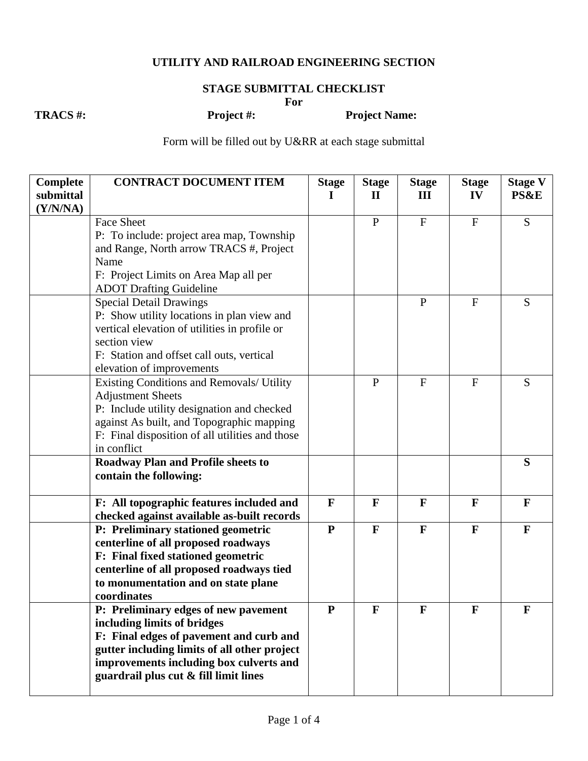## **UTILITY AND RAILROAD ENGINEERING SECTION**

## **STAGE SUBMITTAL CHECKLIST**

**For** 

**TRACS #: Project #: Project Name:** 

Form will be filled out by U&RR at each stage submittal

| <b>Complete</b> | <b>CONTRACT DOCUMENT ITEM</b>                                                          | <b>Stage</b> | <b>Stage</b> | <b>Stage</b>   | <b>Stage</b> | <b>Stage V</b>  |
|-----------------|----------------------------------------------------------------------------------------|--------------|--------------|----------------|--------------|-----------------|
| submittal       |                                                                                        | I.           | $\mathbf{I}$ | III            | IV           | <b>PS&amp;E</b> |
| (Y/N/NA)        | <b>Face Sheet</b>                                                                      |              | $\, {\bf P}$ | ${\bf F}$      | ${\bf F}$    | S               |
|                 | P: To include: project area map, Township                                              |              |              |                |              |                 |
|                 | and Range, North arrow TRACS #, Project                                                |              |              |                |              |                 |
|                 | Name                                                                                   |              |              |                |              |                 |
|                 | F: Project Limits on Area Map all per                                                  |              |              |                |              |                 |
|                 | <b>ADOT Drafting Guideline</b>                                                         |              |              |                |              |                 |
|                 | <b>Special Detail Drawings</b>                                                         |              |              | $\mathbf{P}$   | $\mathbf F$  | S               |
|                 | P: Show utility locations in plan view and                                             |              |              |                |              |                 |
|                 | vertical elevation of utilities in profile or                                          |              |              |                |              |                 |
|                 | section view                                                                           |              |              |                |              |                 |
|                 | F: Station and offset call outs, vertical                                              |              |              |                |              |                 |
|                 | elevation of improvements                                                              |              |              |                |              |                 |
|                 | Existing Conditions and Removals/ Utility<br><b>Adjustment Sheets</b>                  |              | $\mathbf{P}$ | $\overline{F}$ | $\mathbf F$  | S               |
|                 | P: Include utility designation and checked                                             |              |              |                |              |                 |
|                 | against As built, and Topographic mapping                                              |              |              |                |              |                 |
|                 | F: Final disposition of all utilities and those                                        |              |              |                |              |                 |
|                 | in conflict                                                                            |              |              |                |              |                 |
|                 | <b>Roadway Plan and Profile sheets to</b>                                              |              |              |                |              | S               |
|                 | contain the following:                                                                 |              |              |                |              |                 |
|                 | F: All topographic features included and<br>checked against available as-built records | $\mathbf{F}$ | $\mathbf{F}$ | $\mathbf{F}$   | $\mathbf{F}$ | $\mathbf{F}$    |
|                 | P: Preliminary stationed geometric                                                     | ${\bf P}$    | $\mathbf{F}$ | $\mathbf F$    | $\mathbf{F}$ | $\mathbf F$     |
|                 | centerline of all proposed roadways                                                    |              |              |                |              |                 |
|                 | F: Final fixed stationed geometric                                                     |              |              |                |              |                 |
|                 | centerline of all proposed roadways tied                                               |              |              |                |              |                 |
|                 | to monumentation and on state plane                                                    |              |              |                |              |                 |
|                 | coordinates                                                                            |              |              |                |              |                 |
|                 | P: Preliminary edges of new pavement<br>including limits of bridges                    | $\mathbf P$  | F            | F              | F            | F               |
|                 | F: Final edges of pavement and curb and                                                |              |              |                |              |                 |
|                 | gutter including limits of all other project                                           |              |              |                |              |                 |
|                 | improvements including box culverts and                                                |              |              |                |              |                 |
|                 | guardrail plus cut & fill limit lines                                                  |              |              |                |              |                 |
|                 |                                                                                        |              |              |                |              |                 |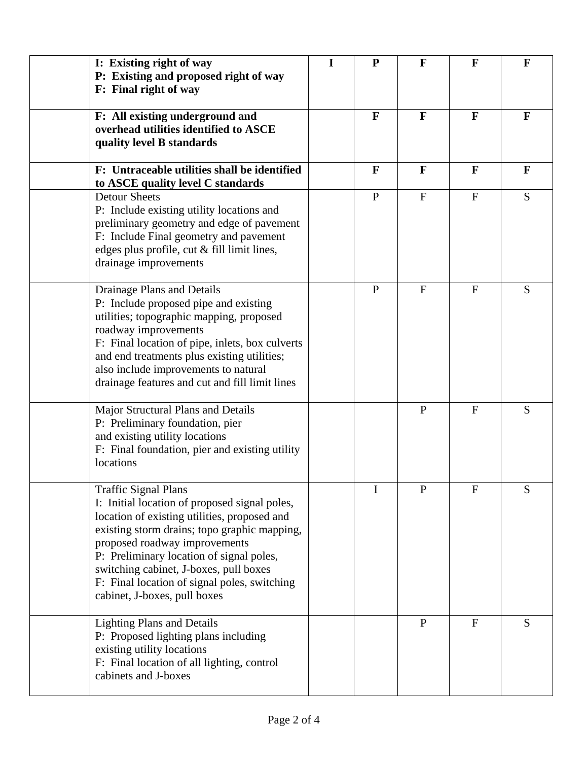| I: Existing right of way<br>P: Existing and proposed right of way<br>F: Final right of way                                                                                                                                                                                                                                                                                          | I | ${\bf P}$    | F              | F            | $\mathbf F$  |
|-------------------------------------------------------------------------------------------------------------------------------------------------------------------------------------------------------------------------------------------------------------------------------------------------------------------------------------------------------------------------------------|---|--------------|----------------|--------------|--------------|
| F: All existing underground and<br>overhead utilities identified to ASCE<br>quality level B standards                                                                                                                                                                                                                                                                               |   | $\mathbf{F}$ | $\mathbf{F}$   | $\mathbf{F}$ | $\mathbf{F}$ |
| F: Untraceable utilities shall be identified<br>to ASCE quality level C standards                                                                                                                                                                                                                                                                                                   |   | $\mathbf{F}$ | $\mathbf{F}$   | $\mathbf{F}$ | $\mathbf{F}$ |
| <b>Detour Sheets</b><br>P: Include existing utility locations and<br>preliminary geometry and edge of pavement<br>F: Include Final geometry and pavement<br>edges plus profile, cut & fill limit lines,<br>drainage improvements                                                                                                                                                    |   | $\mathbf{P}$ | $\mathbf{F}$   | $\mathbf{F}$ | S            |
| Drainage Plans and Details<br>P: Include proposed pipe and existing<br>utilities; topographic mapping, proposed<br>roadway improvements<br>F: Final location of pipe, inlets, box culverts<br>and end treatments plus existing utilities;<br>also include improvements to natural<br>drainage features and cut and fill limit lines                                                 |   | $\mathbf{P}$ | $\overline{F}$ | F            | S            |
| Major Structural Plans and Details<br>P: Preliminary foundation, pier<br>and existing utility locations<br>F: Final foundation, pier and existing utility<br>locations                                                                                                                                                                                                              |   |              | $\mathbf{P}$   | F            | S            |
| <b>Traffic Signal Plans</b><br>I: Initial location of proposed signal poles,<br>location of existing utilities, proposed and<br>existing storm drains; topo graphic mapping,<br>proposed roadway improvements<br>P: Preliminary location of signal poles,<br>switching cabinet, J-boxes, pull boxes<br>F: Final location of signal poles, switching<br>cabinet, J-boxes, pull boxes |   | I            | $\mathbf{P}$   | $\mathbf F$  | S            |
| <b>Lighting Plans and Details</b><br>P: Proposed lighting plans including<br>existing utility locations<br>F: Final location of all lighting, control<br>cabinets and J-boxes                                                                                                                                                                                                       |   |              | $\mathbf{P}$   | F            | S            |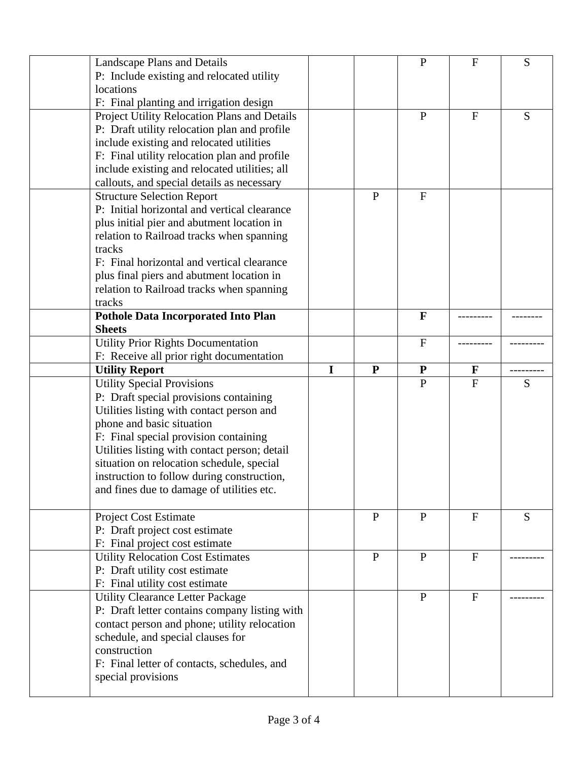| <b>Landscape Plans and Details</b>                                |   |              | $\mathbf P$    | $\mathbf{F}$ | S |
|-------------------------------------------------------------------|---|--------------|----------------|--------------|---|
| P: Include existing and relocated utility                         |   |              |                |              |   |
| locations                                                         |   |              |                |              |   |
| F: Final planting and irrigation design                           |   |              |                |              |   |
| Project Utility Relocation Plans and Details                      |   |              | $\overline{P}$ | F            | S |
| P: Draft utility relocation plan and profile                      |   |              |                |              |   |
| include existing and relocated utilities                          |   |              |                |              |   |
| F: Final utility relocation plan and profile                      |   |              |                |              |   |
| include existing and relocated utilities; all                     |   |              |                |              |   |
|                                                                   |   |              |                |              |   |
| callouts, and special details as necessary                        |   | $\mathbf{P}$ |                |              |   |
| <b>Structure Selection Report</b>                                 |   |              | $\overline{F}$ |              |   |
| P: Initial horizontal and vertical clearance                      |   |              |                |              |   |
| plus initial pier and abutment location in                        |   |              |                |              |   |
| relation to Railroad tracks when spanning                         |   |              |                |              |   |
| tracks                                                            |   |              |                |              |   |
| F: Final horizontal and vertical clearance                        |   |              |                |              |   |
| plus final piers and abutment location in                         |   |              |                |              |   |
| relation to Railroad tracks when spanning                         |   |              |                |              |   |
| tracks                                                            |   |              |                |              |   |
| <b>Pothole Data Incorporated Into Plan</b>                        |   |              | $\mathbf{F}$   |              |   |
| <b>Sheets</b>                                                     |   |              |                |              |   |
| <b>Utility Prior Rights Documentation</b>                         |   |              | $\mathbf F$    |              |   |
| F: Receive all prior right documentation                          |   |              |                |              |   |
| <b>Utility Report</b>                                             | T | $\mathbf{P}$ | ${\bf P}$      | F            |   |
| <b>Utility Special Provisions</b>                                 |   |              | $\mathbf P$    | $\mathbf{F}$ | S |
|                                                                   |   |              |                |              |   |
|                                                                   |   |              |                |              |   |
| P: Draft special provisions containing                            |   |              |                |              |   |
| Utilities listing with contact person and                         |   |              |                |              |   |
| phone and basic situation                                         |   |              |                |              |   |
| F: Final special provision containing                             |   |              |                |              |   |
| Utilities listing with contact person; detail                     |   |              |                |              |   |
| situation on relocation schedule, special                         |   |              |                |              |   |
| instruction to follow during construction,                        |   |              |                |              |   |
| and fines due to damage of utilities etc.                         |   |              |                |              |   |
|                                                                   |   |              |                |              |   |
| <b>Project Cost Estimate</b>                                      |   | $\mathbf{P}$ | ${\bf P}$      | $\mathbf{F}$ | S |
| P: Draft project cost estimate                                    |   |              |                |              |   |
| F: Final project cost estimate                                    |   |              |                |              |   |
| <b>Utility Relocation Cost Estimates</b>                          |   | $\mathbf{P}$ | $\mathbf P$    | $\mathbf{F}$ |   |
| P: Draft utility cost estimate                                    |   |              |                |              |   |
| F: Final utility cost estimate                                    |   |              |                |              |   |
| <b>Utility Clearance Letter Package</b>                           |   |              | $\mathbf{P}$   | $\mathbf F$  |   |
| P: Draft letter contains company listing with                     |   |              |                |              |   |
|                                                                   |   |              |                |              |   |
| contact person and phone; utility relocation                      |   |              |                |              |   |
| schedule, and special clauses for                                 |   |              |                |              |   |
| construction                                                      |   |              |                |              |   |
| F: Final letter of contacts, schedules, and<br>special provisions |   |              |                |              |   |